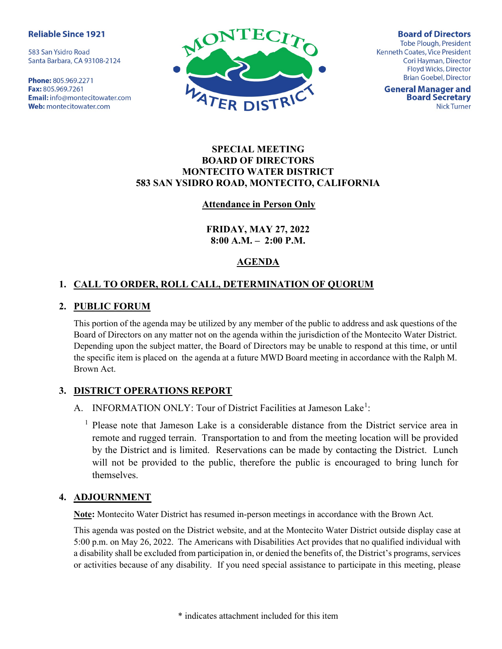#### **Reliable Since 1921**

583 San Ysidro Road Santa Barbara, CA 93108-2124

Phone: 805.969.2271 Fax: 805.969.7261 Email: info@montecitowater.com Web: montecitowater.com



**Board of Directors Tobe Plough, President** Kenneth Coates, Vice President Cori Hayman, Director Floyd Wicks, Director **Brian Goebel, Director** 

**General Manager and Board Secretary Nick Turner** 

## SPECIAL MEETING BOARD OF DIRECTORS MONTECITO WATER DISTRICT 583 SAN YSIDRO ROAD, MONTECITO, CALIFORNIA

### Attendance in Person Only

FRIDAY, MAY 27, 2022  $8:00 A.M. - 2:00 P.M.$ 

# AGENDA

## 1. CALL TO ORDER, ROLL CALL, DETERMINATION OF QUORUM

### 2. PUBLIC FORUM

This portion of the agenda may be utilized by any member of the public to address and ask questions of the Board of Directors on any matter not on the agenda within the jurisdiction of the Montecito Water District. Depending upon the subject matter, the Board of Directors may be unable to respond at this time, or until the specific item is placed on the agenda at a future MWD Board meeting in accordance with the Ralph M. Brown Act.

## 3. DISTRICT OPERATIONS REPORT

A. INFORMATION ONLY: Tour of District Facilities at Jameson Lake<sup>1</sup>:

<sup>1</sup> Please note that Jameson Lake is a considerable distance from the District service area in remote and rugged terrain. Transportation to and from the meeting location will be provided by the District and is limited. Reservations can be made by contacting the District. Lunch will not be provided to the public, therefore the public is encouraged to bring lunch for themselves.

#### 4. ADJOURNMENT

Note: Montecito Water District has resumed in-person meetings in accordance with the Brown Act.

This agenda was posted on the District website, and at the Montecito Water District outside display case at 5:00 p.m. on May 26, 2022. The Americans with Disabilities Act provides that no qualified individual with a disability shall be excluded from participation in, or denied the benefits of, the District's programs, services or activities because of any disability. If you need special assistance to participate in this meeting, please